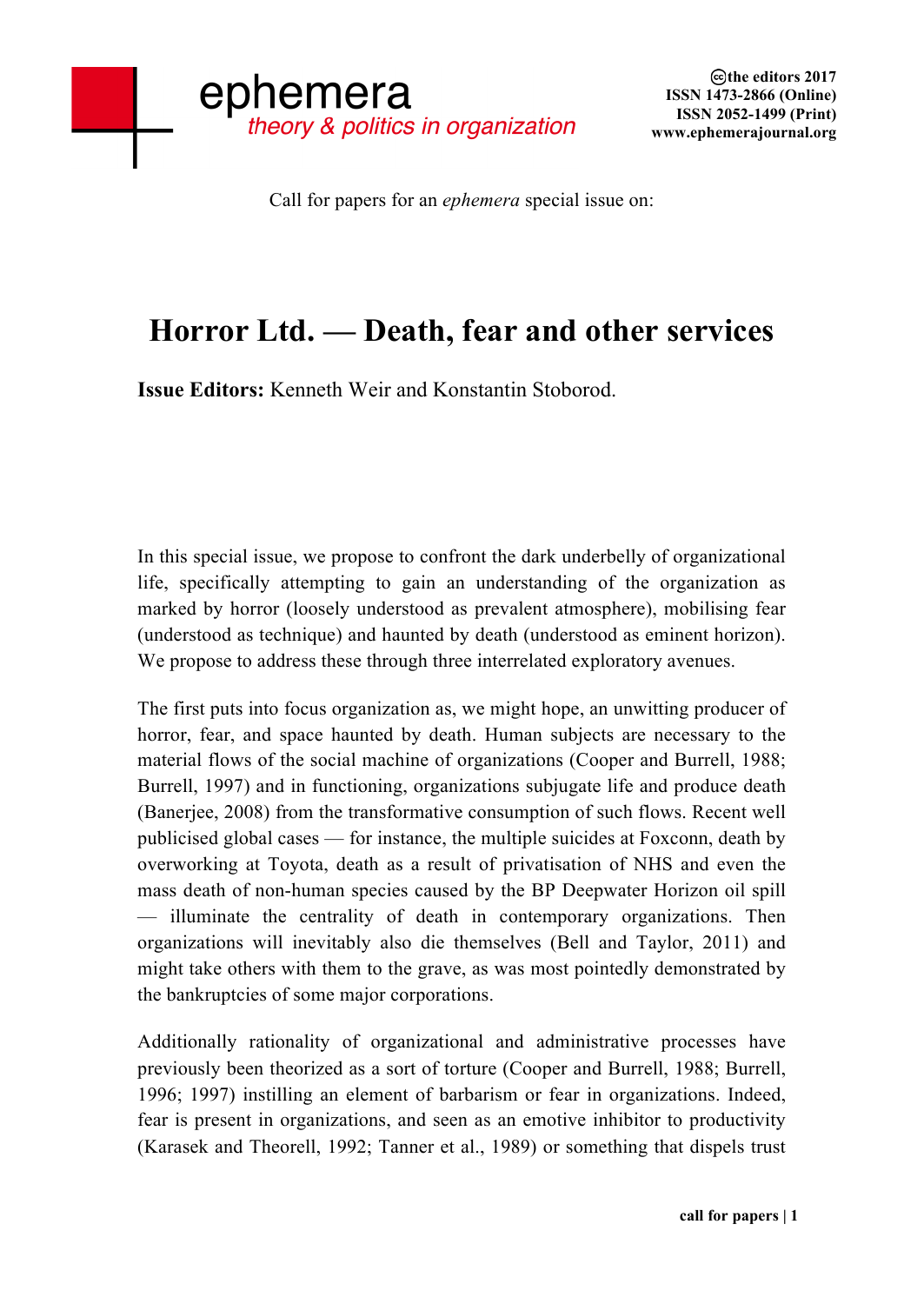Call for papers for an *ephemera* special issue on:

## **Horror Ltd. — Death, fear and other services**

**Issue Editors:** Kenneth Weir and Konstantin Stoborod.

In this special issue, we propose to confront the dark underbelly of organizational life, specifically attempting to gain an understanding of the organization as marked by horror (loosely understood as prevalent atmosphere), mobilising fear (understood as technique) and haunted by death (understood as eminent horizon). We propose to address these through three interrelated exploratory avenues.

The first puts into focus organization as, we might hope, an unwitting producer of horror, fear, and space haunted by death. Human subjects are necessary to the material flows of the social machine of organizations (Cooper and Burrell, 1988; Burrell, 1997) and in functioning, organizations subjugate life and produce death (Banerjee, 2008) from the transformative consumption of such flows. Recent well publicised global cases — for instance, the multiple suicides at Foxconn, death by overworking at Toyota, death as a result of privatisation of NHS and even the mass death of non-human species caused by the BP Deepwater Horizon oil spill — illuminate the centrality of death in contemporary organizations. Then organizations will inevitably also die themselves (Bell and Taylor, 2011) and might take others with them to the grave, as was most pointedly demonstrated by the bankruptcies of some major corporations.

Additionally rationality of organizational and administrative processes have previously been theorized as a sort of torture (Cooper and Burrell, 1988; Burrell, 1996; 1997) instilling an element of barbarism or fear in organizations. Indeed, fear is present in organizations, and seen as an emotive inhibitor to productivity (Karasek and Theorell, 1992; Tanner et al., 1989) or something that dispels trust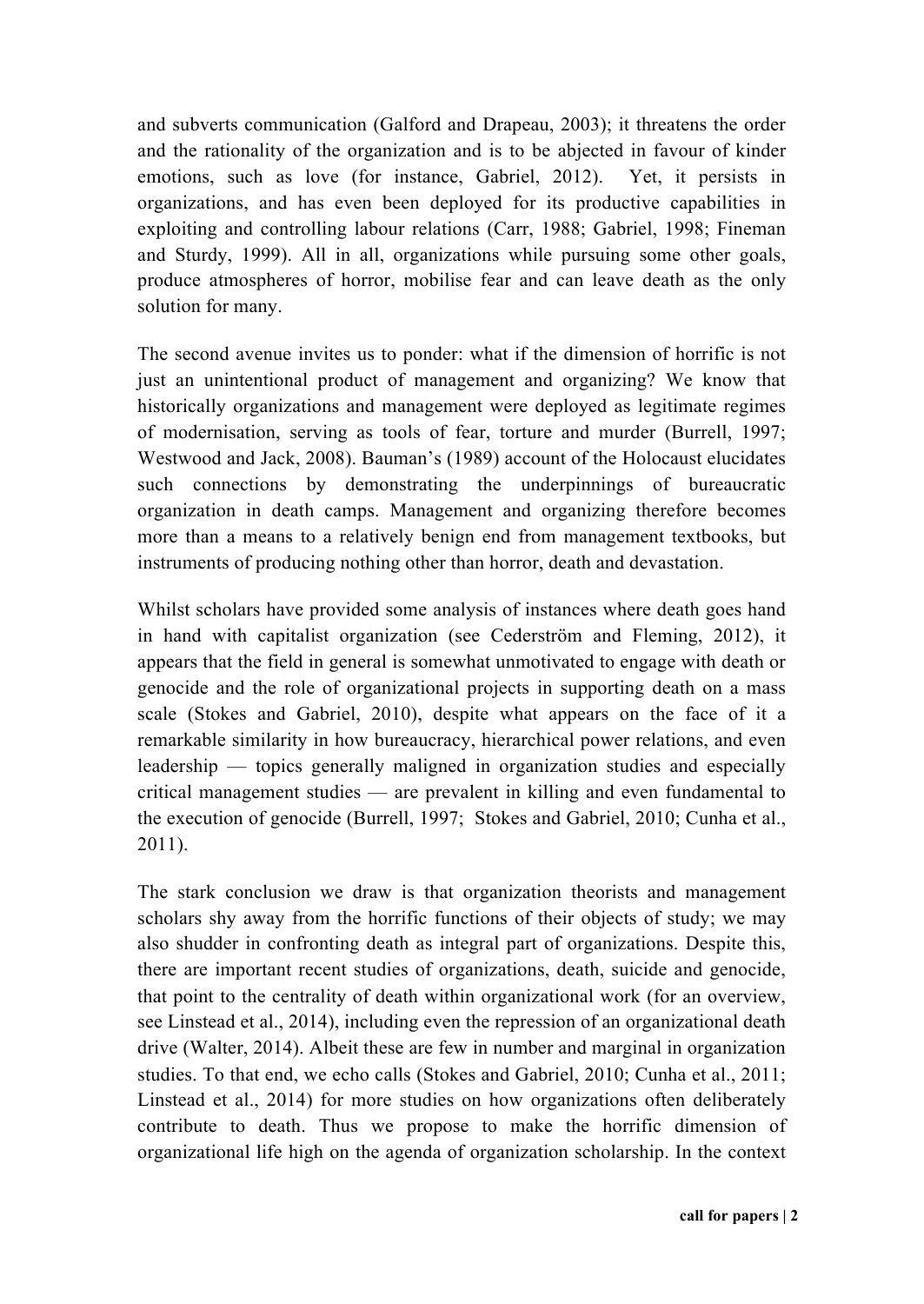and subverts communication (Galford and Drapeau, 2003); it threatens the order and the rationality of the organization and is to be abjected in favour of kinder emotions, such as love (for instance, Gabriel, 2012). Yet, it persists in organizations, and has even been deployed for its productive capabilities in exploiting and controlling labour relations (Carr, 1988; Gabriel, 1998; Fineman and Sturdy, 1999). All in all, organizations while pursuing some other goals, produce atmospheres of horror, mobilise fear and can leave death as the only solution for many.

The second avenue invites us to ponder: what if the dimension of horrific is not just an unintentional product of management and organizing? We know that historically organizations and management were deployed as legitimate regimes of modernisation, serving as tools of fear, torture and murder (Burrell, 1997; Westwood and Jack, 2008). Bauman's (1989) account of the Holocaust elucidates such connections by demonstrating the underpinnings of bureaucratic organization in death camps. Management and organizing therefore becomes more than a means to a relatively benign end from management textbooks, but instruments of producing nothing other than horror, death and devastation.

Whilst scholars have provided some analysis of instances where death goes hand in hand with capitalist organization (see Cederström and Fleming, 2012), it appears that the field in general is somewhat unmotivated to engage with death or genocide and the role of organizational projects in supporting death on a mass scale (Stokes and Gabriel, 2010), despite what appears on the face of it a remarkable similarity in how bureaucracy, hierarchical power relations, and even leadership — topics generally maligned in organization studies and especially critical management studies — are prevalent in killing and even fundamental to the execution of genocide (Burrell, 1997; Stokes and Gabriel, 2010; Cunha et al., 2011).

The stark conclusion we draw is that organization theorists and management scholars shy away from the horrific functions of their objects of study; we may also shudder in confronting death as integral part of organizations. Despite this, there are important recent studies of organizations, death, suicide and genocide, that point to the centrality of death within organizational work (for an overview, see Linstead et al., 2014), including even the repression of an organizational death drive (Walter, 2014). Albeit these are few in number and marginal in organization studies. To that end, we echo calls (Stokes and Gabriel, 2010; Cunha et al., 2011; Linstead et al., 2014) for more studies on how organizations often deliberately contribute to death. Thus we propose to make the horrific dimension of organizational life high on the agenda of organization scholarship. In the context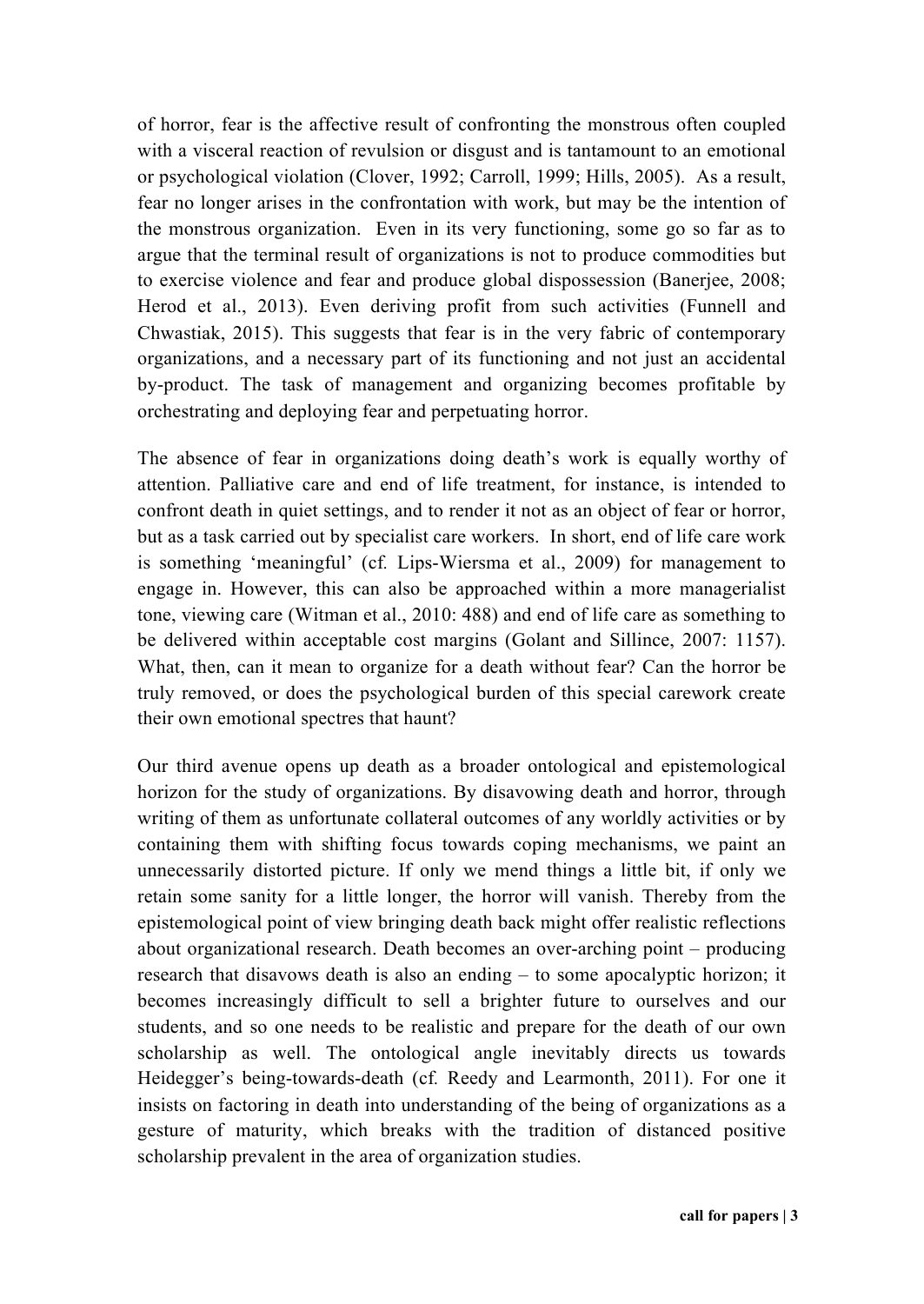of horror, fear is the affective result of confronting the monstrous often coupled with a visceral reaction of revulsion or disgust and is tantamount to an emotional or psychological violation (Clover, 1992; Carroll, 1999; Hills, 2005). As a result, fear no longer arises in the confrontation with work, but may be the intention of the monstrous organization. Even in its very functioning, some go so far as to argue that the terminal result of organizations is not to produce commodities but to exercise violence and fear and produce global dispossession (Banerjee, 2008; Herod et al., 2013). Even deriving profit from such activities (Funnell and Chwastiak, 2015). This suggests that fear is in the very fabric of contemporary organizations, and a necessary part of its functioning and not just an accidental by-product. The task of management and organizing becomes profitable by orchestrating and deploying fear and perpetuating horror.

The absence of fear in organizations doing death's work is equally worthy of attention. Palliative care and end of life treatment, for instance, is intended to confront death in quiet settings, and to render it not as an object of fear or horror, but as a task carried out by specialist care workers. In short, end of life care work is something 'meaningful' (cf*.* Lips-Wiersma et al., 2009) for management to engage in. However, this can also be approached within a more managerialist tone, viewing care (Witman et al., 2010: 488) and end of life care as something to be delivered within acceptable cost margins (Golant and Sillince, 2007: 1157). What, then, can it mean to organize for a death without fear? Can the horror be truly removed, or does the psychological burden of this special carework create their own emotional spectres that haunt?

Our third avenue opens up death as a broader ontological and epistemological horizon for the study of organizations. By disavowing death and horror, through writing of them as unfortunate collateral outcomes of any worldly activities or by containing them with shifting focus towards coping mechanisms, we paint an unnecessarily distorted picture. If only we mend things a little bit, if only we retain some sanity for a little longer, the horror will vanish. Thereby from the epistemological point of view bringing death back might offer realistic reflections about organizational research. Death becomes an over-arching point – producing research that disavows death is also an ending – to some apocalyptic horizon; it becomes increasingly difficult to sell a brighter future to ourselves and our students, and so one needs to be realistic and prepare for the death of our own scholarship as well. The ontological angle inevitably directs us towards Heidegger's being-towards-death (cf*.* Reedy and Learmonth, 2011). For one it insists on factoring in death into understanding of the being of organizations as a gesture of maturity, which breaks with the tradition of distanced positive scholarship prevalent in the area of organization studies.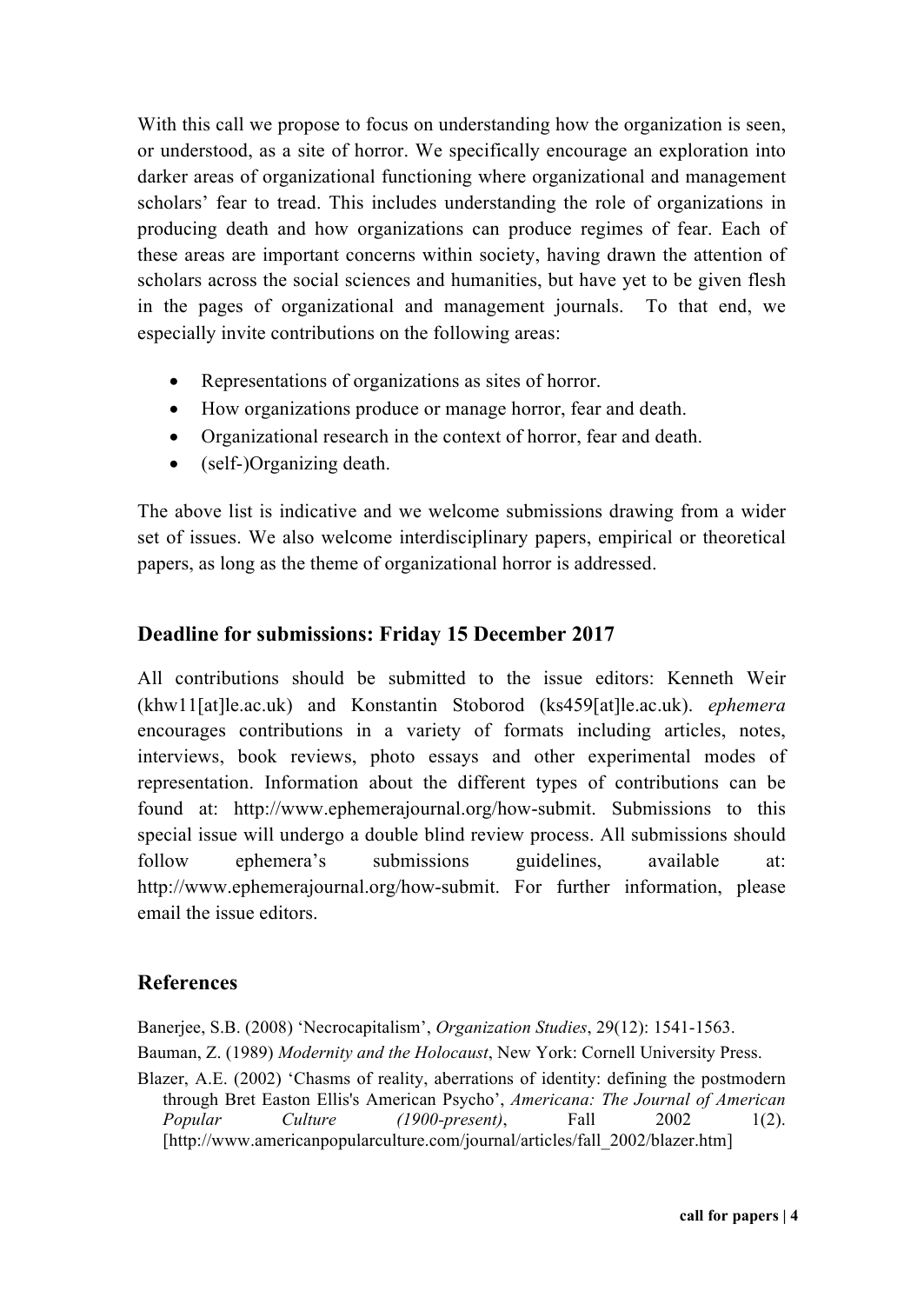With this call we propose to focus on understanding how the organization is seen, or understood, as a site of horror. We specifically encourage an exploration into darker areas of organizational functioning where organizational and management scholars' fear to tread. This includes understanding the role of organizations in producing death and how organizations can produce regimes of fear. Each of these areas are important concerns within society, having drawn the attention of scholars across the social sciences and humanities, but have yet to be given flesh in the pages of organizational and management journals. To that end, we especially invite contributions on the following areas:

- Representations of organizations as sites of horror.
- How organizations produce or manage horror, fear and death.
- Organizational research in the context of horror, fear and death.
- (self-)Organizing death.

The above list is indicative and we welcome submissions drawing from a wider set of issues. We also welcome interdisciplinary papers, empirical or theoretical papers, as long as the theme of organizational horror is addressed.

## **Deadline for submissions: Friday 15 December 2017**

All contributions should be submitted to the issue editors: Kenneth Weir (khw11[at]le.ac.uk) and Konstantin Stoborod (ks459[at]le.ac.uk). *ephemera* encourages contributions in a variety of formats including articles, notes, interviews, book reviews, photo essays and other experimental modes of representation. Information about the different types of contributions can be found at: http://www.ephemerajournal.org/how-submit. Submissions to this special issue will undergo a double blind review process. All submissions should follow ephemera's submissions guidelines, available at: http://www.ephemerajournal.org/how-submit. For further information, please email the issue editors.

## **References**

Banerjee, S.B. (2008) 'Necrocapitalism', *Organization Studies*, 29(12): 1541-1563. Bauman, Z. (1989) *Modernity and the Holocaust*, New York: Cornell University Press.

Blazer, A.E. (2002) 'Chasms of reality, aberrations of identity: defining the postmodern through Bret Easton Ellis's American Psycho', *Americana: The Journal of American Popular Culture (1900-present)*, Fall 2002 1(2). [http://www.americanpopularculture.com/journal/articles/fall\_2002/blazer.htm]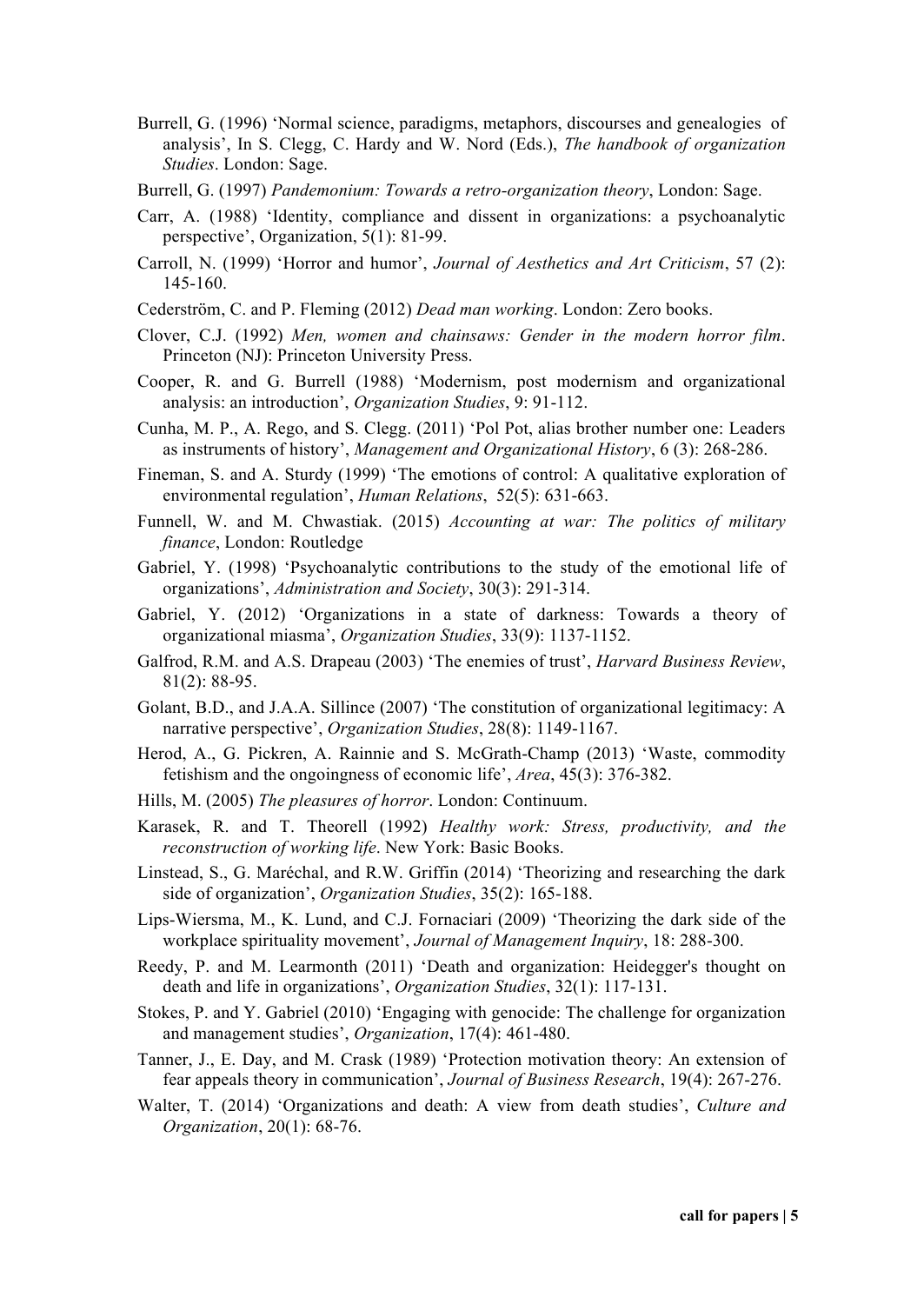- Burrell, G. (1996) 'Normal science, paradigms, metaphors, discourses and genealogies of analysis', In S. Clegg, C. Hardy and W. Nord (Eds.), *The handbook of organization Studies*. London: Sage.
- Burrell, G. (1997) *Pandemonium: Towards a retro-organization theory*, London: Sage.
- Carr, A. (1988) 'Identity, compliance and dissent in organizations: a psychoanalytic perspective', Organization, 5(1): 81-99.
- Carroll, N. (1999) 'Horror and humor', *Journal of Aesthetics and Art Criticism*, 57 (2): 145-160.
- Cederström, C. and P. Fleming (2012) *Dead man working*. London: Zero books.
- Clover, C.J. (1992) *Men, women and chainsaws: Gender in the modern horror film*. Princeton (NJ): Princeton University Press.
- Cooper, R. and G. Burrell (1988) 'Modernism, post modernism and organizational analysis: an introduction', *Organization Studies*, 9: 91-112.
- Cunha, M. P., A. Rego, and S. Clegg. (2011) 'Pol Pot, alias brother number one: Leaders as instruments of history', *Management and Organizational History*, 6 (3): 268-286.
- Fineman, S. and A. Sturdy (1999) 'The emotions of control: A qualitative exploration of environmental regulation', *Human Relations*, 52(5): 631-663.
- Funnell, W. and M. Chwastiak. (2015) *Accounting at war: The politics of military finance*, London: Routledge
- Gabriel, Y. (1998) 'Psychoanalytic contributions to the study of the emotional life of organizations', *Administration and Society*, 30(3): 291-314.
- Gabriel, Y. (2012) 'Organizations in a state of darkness: Towards a theory of organizational miasma', *Organization Studies*, 33(9): 1137-1152.
- Galfrod, R.M. and A.S. Drapeau (2003) 'The enemies of trust', *Harvard Business Review*, 81(2): 88-95.
- Golant, B.D., and J.A.A. Sillince (2007) 'The constitution of organizational legitimacy: A narrative perspective', *Organization Studies*, 28(8): 1149-1167.
- Herod, A., G. Pickren, A. Rainnie and S. McGrath-Champ (2013) 'Waste, commodity fetishism and the ongoingness of economic life', *Area*, 45(3): 376-382.
- Hills, M. (2005) *The pleasures of horror*. London: Continuum.
- Karasek, R. and T. Theorell (1992) *Healthy work: Stress, productivity, and the reconstruction of working life*. New York: Basic Books.
- Linstead, S., G. Maréchal, and R.W. Griffin (2014) 'Theorizing and researching the dark side of organization', *Organization Studies*, 35(2): 165-188.
- Lips-Wiersma, M., K. Lund, and C.J. Fornaciari (2009) 'Theorizing the dark side of the workplace spirituality movement', *Journal of Management Inquiry*, 18: 288-300.
- Reedy, P. and M. Learmonth (2011) 'Death and organization: Heidegger's thought on death and life in organizations', *Organization Studies*, 32(1): 117-131.
- Stokes, P. and Y. Gabriel (2010) 'Engaging with genocide: The challenge for organization and management studies', *Organization*, 17(4): 461-480.
- Tanner, J., E. Day, and M. Crask (1989) 'Protection motivation theory: An extension of fear appeals theory in communication', *Journal of Business Research*, 19(4): 267-276.
- Walter, T. (2014) 'Organizations and death: A view from death studies', *Culture and Organization*, 20(1): 68-76.